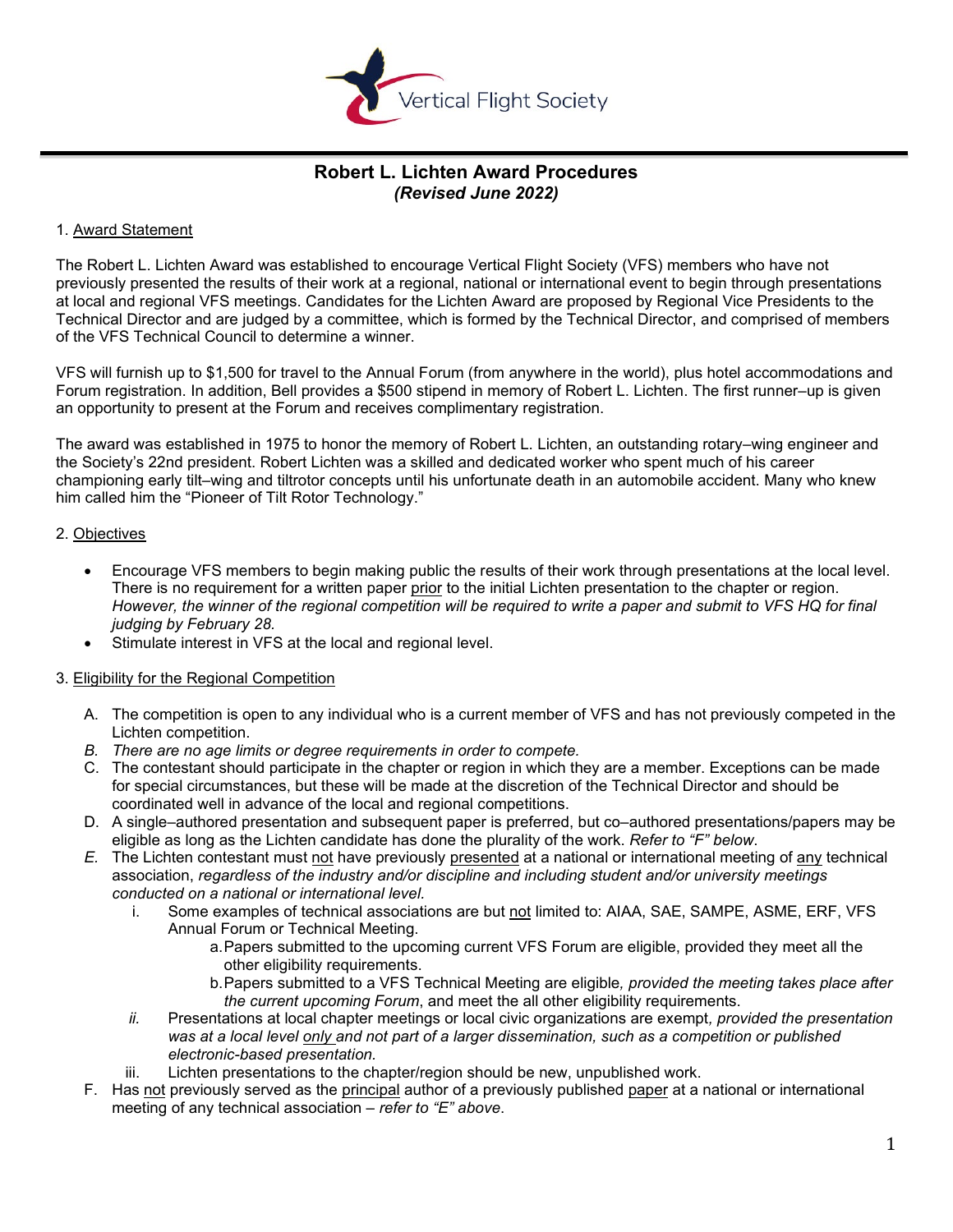

# **Robert L. Lichten Award Procedures** *(Revised June 2022)*

#### 1. Award Statement

The Robert L. Lichten Award was established to encourage Vertical Flight Society (VFS) members who have not previously presented the results of their work at a regional, national or international event to begin through presentations at local and regional VFS meetings. Candidates for the Lichten Award are proposed by Regional Vice Presidents to the Technical Director and are judged by a committee, which is formed by the Technical Director, and comprised of members of the VFS Technical Council to determine a winner.

VFS will furnish up to \$1,500 for travel to the Annual Forum (from anywhere in the world), plus hotel accommodations and Forum registration. In addition, Bell provides a \$500 stipend in memory of Robert L. Lichten. The first runner–up is given an opportunity to present at the Forum and receives complimentary registration.

The award was established in 1975 to honor the memory of Robert L. Lichten, an outstanding rotary–wing engineer and the Society's 22nd president. Robert Lichten was a skilled and dedicated worker who spent much of his career championing early tilt–wing and tiltrotor concepts until his unfortunate death in an automobile accident. Many who knew him called him the "Pioneer of Tilt Rotor Technology."

#### 2. Objectives

- Encourage VFS members to begin making public the results of their work through presentations at the local level. There is no requirement for a written paper prior to the initial Lichten presentation to the chapter or region. *However, the winner of the regional competition will be required to write a paper and submit to VFS HQ for final judging by February 28.*
- Stimulate interest in VFS at the local and regional level.

#### 3. Eligibility for the Regional Competition

- A. The competition is open to any individual who is a current member of VFS and has not previously competed in the Lichten competition.
- *B. There are no age limits or degree requirements in order to compete.*
- C. The contestant should participate in the chapter or region in which they are a member. Exceptions can be made for special circumstances, but these will be made at the discretion of the Technical Director and should be coordinated well in advance of the local and regional competitions.
- D. A single–authored presentation and subsequent paper is preferred, but co–authored presentations/papers may be eligible as long as the Lichten candidate has done the plurality of the work. *Refer to "F" below*.
- *E.* The Lichten contestant must not have previously presented at a national or international meeting of any technical association, *regardless of the industry and/or discipline and including student and/or university meetings conducted on a national or international level.*
	- i. Some examples of technical associations are but not limited to: AIAA, SAE, SAMPE, ASME, ERF, VFS Annual Forum or Technical Meeting.
		- a.Papers submitted to the upcoming current VFS Forum are eligible, provided they meet all the other eligibility requirements.
		- b.Papers submitted to a VFS Technical Meeting are eligible*, provided the meeting takes place after the current upcoming Forum*, and meet the all other eligibility requirements.
	- *ii.* Presentations at local chapter meetings or local civic organizations are exempt*, provided the presentation was at a local level only and not part of a larger dissemination, such as a competition or published electronic-based presentation.*
	- iii. Lichten presentations to the chapter/region should be new, unpublished work.
- F. Has not previously served as the principal author of a previously published paper at a national or international meeting of any technical association – *refer to "E" above*.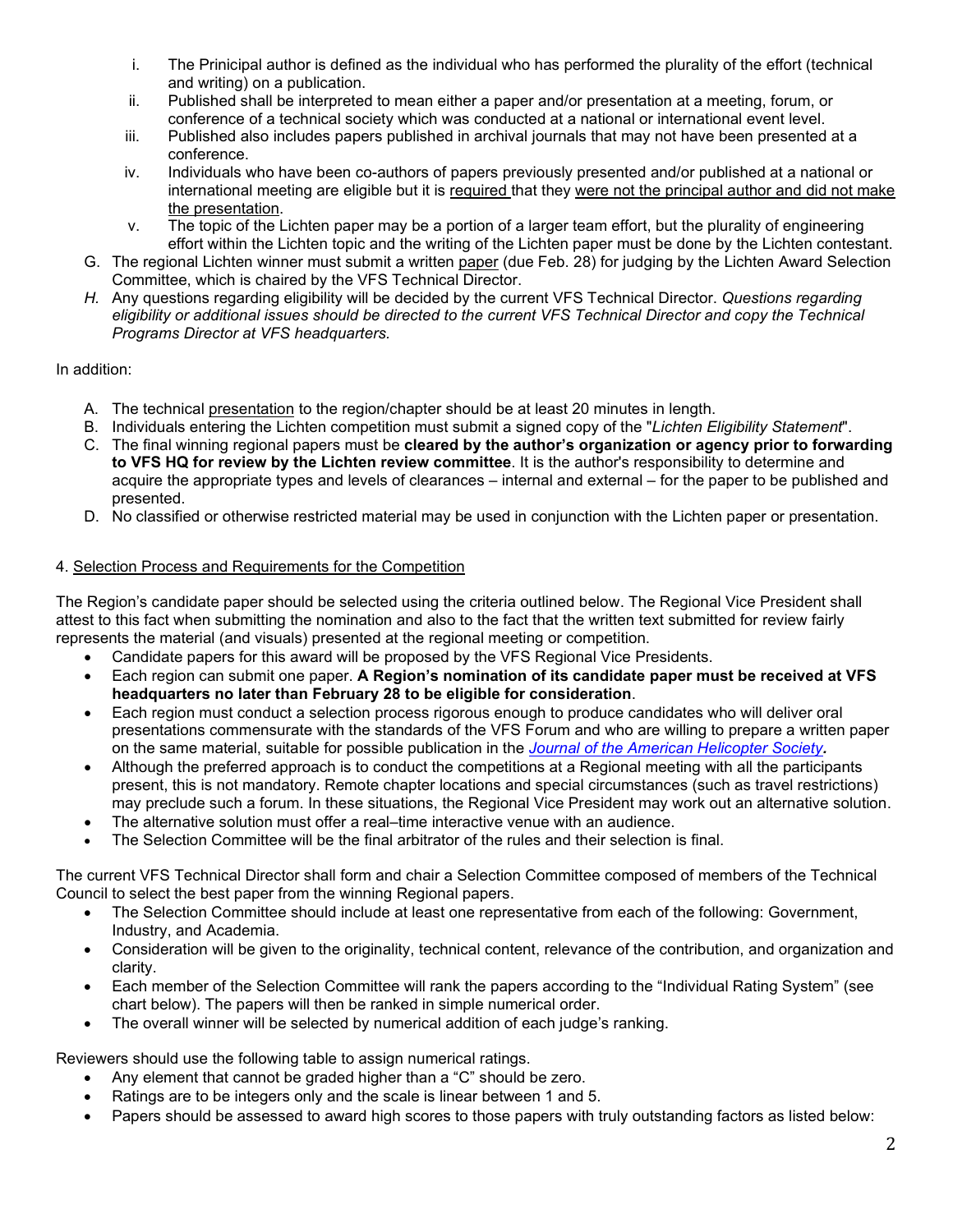- i. The Prinicipal author is defined as the individual who has performed the plurality of the effort (technical and writing) on a publication.
- ii. Published shall be interpreted to mean either a paper and/or presentation at a meeting, forum, or conference of a technical society which was conducted at a national or international event level.
- iii. Published also includes papers published in archival journals that may not have been presented at a conference.
- iv. Individuals who have been co-authors of papers previously presented and/or published at a national or international meeting are eligible but it is required that they were not the principal author and did not make the presentation.
- v. The topic of the Lichten paper may be a portion of a larger team effort, but the plurality of engineering effort within the Lichten topic and the writing of the Lichten paper must be done by the Lichten contestant.
- G. The regional Lichten winner must submit a written paper (due Feb. 28) for judging by the Lichten Award Selection Committee, which is chaired by the VFS Technical Director.
- *H.* Any questions regarding eligibility will be decided by the current VFS Technical Director. *Questions regarding eligibility or additional issues should be directed to the current VFS Technical Director and copy the Technical Programs Director at VFS headquarters.*

# In addition:

- A. The technical presentation to the region/chapter should be at least 20 minutes in length.
- B. Individuals entering the Lichten competition must submit a signed copy of the "*Lichten Eligibility Statement*".
- C. The final winning regional papers must be **cleared by the author's organization or agency prior to forwarding to VFS HQ for review by the Lichten review committee**. It is the author's responsibility to determine and acquire the appropriate types and levels of clearances – internal and external – for the paper to be published and presented.
- D. No classified or otherwise restricted material may be used in conjunction with the Lichten paper or presentation.

# 4. Selection Process and Requirements for the Competition

The Region's candidate paper should be selected using the criteria outlined below. The Regional Vice President shall attest to this fact when submitting the nomination and also to the fact that the written text submitted for review fairly represents the material (and visuals) presented at the regional meeting or competition.

- Candidate papers for this award will be proposed by the VFS Regional Vice Presidents.
- Each region can submit one paper. **A Region's nomination of its candidate paper must be received at VFS headquarters no later than February 28 to be eligible for consideration**.
- Each region must conduct a selection process rigorous enough to produce candidates who will deliver oral presentations commensurate with the standards of the VFS Forum and who are willing to prepare a written paper on the same material, suitable for possible publication in the *[Journal of the American Helicopter Society](https://vtol.org/publications/journal-of-ahs/journal-guidelines).*
- Although the preferred approach is to conduct the competitions at a Regional meeting with all the participants present, this is not mandatory. Remote chapter locations and special circumstances (such as travel restrictions) may preclude such a forum. In these situations, the Regional Vice President may work out an alternative solution.
- The alternative solution must offer a real–time interactive venue with an audience.
- The Selection Committee will be the final arbitrator of the rules and their selection is final.

The current VFS Technical Director shall form and chair a Selection Committee composed of members of the Technical Council to select the best paper from the winning Regional papers.

- The Selection Committee should include at least one representative from each of the following: Government, Industry, and Academia.
- Consideration will be given to the originality, technical content, relevance of the contribution, and organization and clarity.
- Each member of the Selection Committee will rank the papers according to the "Individual Rating System" (see chart below). The papers will then be ranked in simple numerical order.
- The overall winner will be selected by numerical addition of each judge's ranking.

Reviewers should use the following table to assign numerical ratings.

- Any element that cannot be graded higher than a "C" should be zero.
- Ratings are to be integers only and the scale is linear between 1 and 5.
- Papers should be assessed to award high scores to those papers with truly outstanding factors as listed below: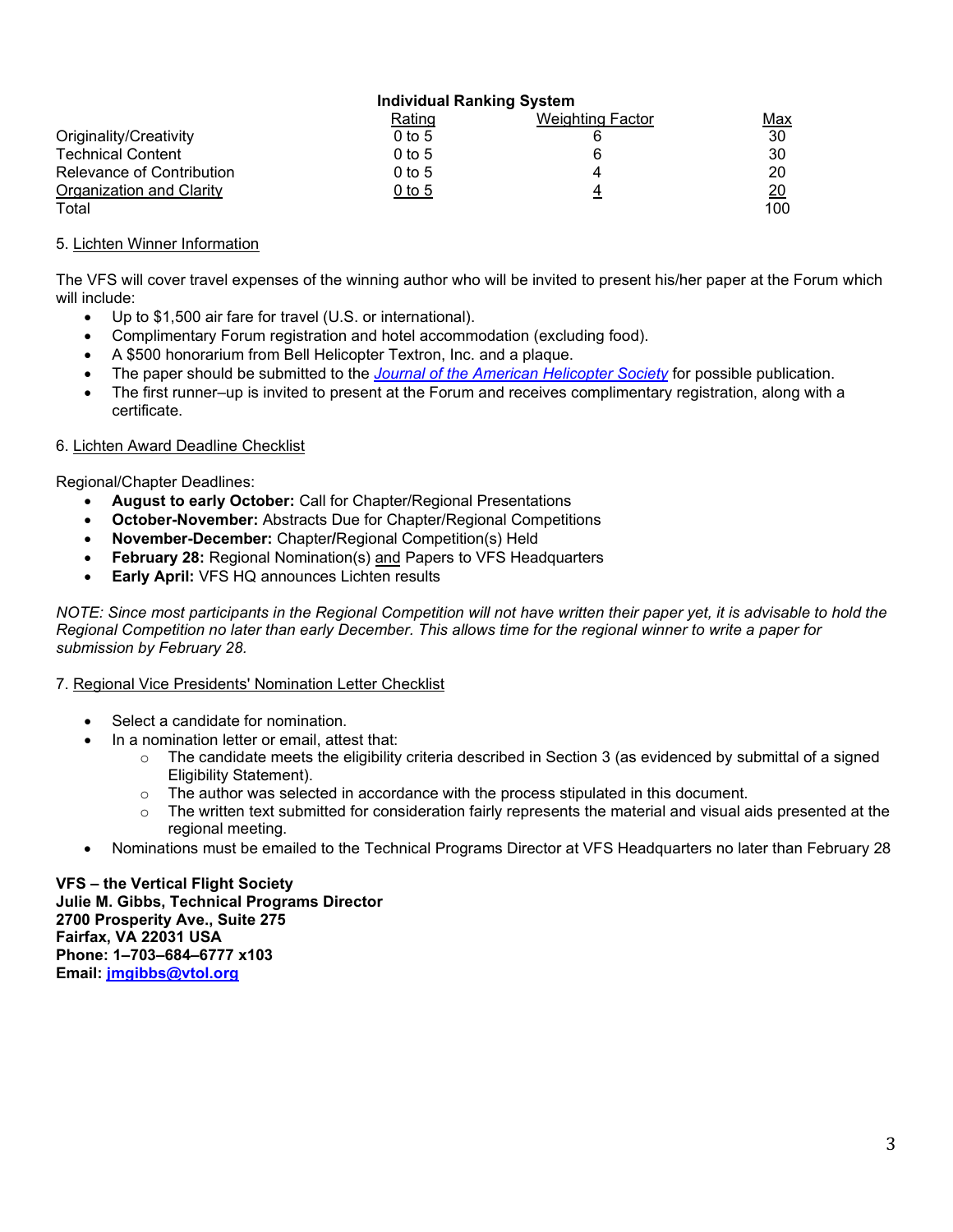|                           | Individual Ranking System |                         |                 |
|---------------------------|---------------------------|-------------------------|-----------------|
|                           | Rating                    | <b>Weighting Factor</b> | Max             |
| Originality/Creativity    | $0$ to 5                  |                         | 30              |
| <b>Technical Content</b>  | $0$ to 5                  |                         | 30              |
| Relevance of Contribution | $0$ to 5                  |                         | 20              |
| Organization and Clarity  | 0 to 5                    |                         | $\overline{20}$ |
| Total                     |                           |                         | 100             |

# 5. Lichten Winner Information

The VFS will cover travel expenses of the winning author who will be invited to present his/her paper at the Forum which will include:

- Up to \$1,500 air fare for travel (U.S. or international).
- Complimentary Forum registration and hotel accommodation (excluding food).
- A \$500 honorarium from Bell Helicopter Textron, Inc. and a plaque.
- The paper should be submitted to the *[Journal of the American Helicopter Society](https://vtol.org/publications/journal-of-ahs/journal-guidelines)* for possible publication.
- The first runner–up is invited to present at the Forum and receives complimentary registration, along with a certificate.

#### 6. Lichten Award Deadline Checklist

Regional/Chapter Deadlines:

- **August to early October:** Call for Chapter/Regional Presentations
- **October-November:** Abstracts Due for Chapter/Regional Competitions
- **November-December:** Chapter**/**Regional Competition(s) Held
- **February 28:** Regional Nomination(s) and Papers to VFS Headquarters
- **Early April:** VFS HQ announces Lichten results

*NOTE: Since most participants in the Regional Competition will not have written their paper yet, it is advisable to hold the Regional Competition no later than early December. This allows time for the regional winner to write a paper for submission by February 28.*

#### 7. Regional Vice Presidents' Nomination Letter Checklist

- Select a candidate for nomination.
- In a nomination letter or email, attest that:
	- $\circ$  The candidate meets the eligibility criteria described in Section 3 (as evidenced by submittal of a signed Eligibility Statement).
	- $\circ$  The author was selected in accordance with the process stipulated in this document.
	- $\circ$  The written text submitted for consideration fairly represents the material and visual aids presented at the regional meeting.
- Nominations must be emailed to the Technical Programs Director at VFS Headquarters no later than February 28

**VFS – the Vertical Flight Society Julie M. Gibbs, Technical Programs Director 2700 Prosperity Ave., Suite 275 Fairfax, VA 22031 USA Phone: 1–703–684–6777 x103 Email: [jmgibbs@vtol.org](mailto:jmgibbs@vtol.org)**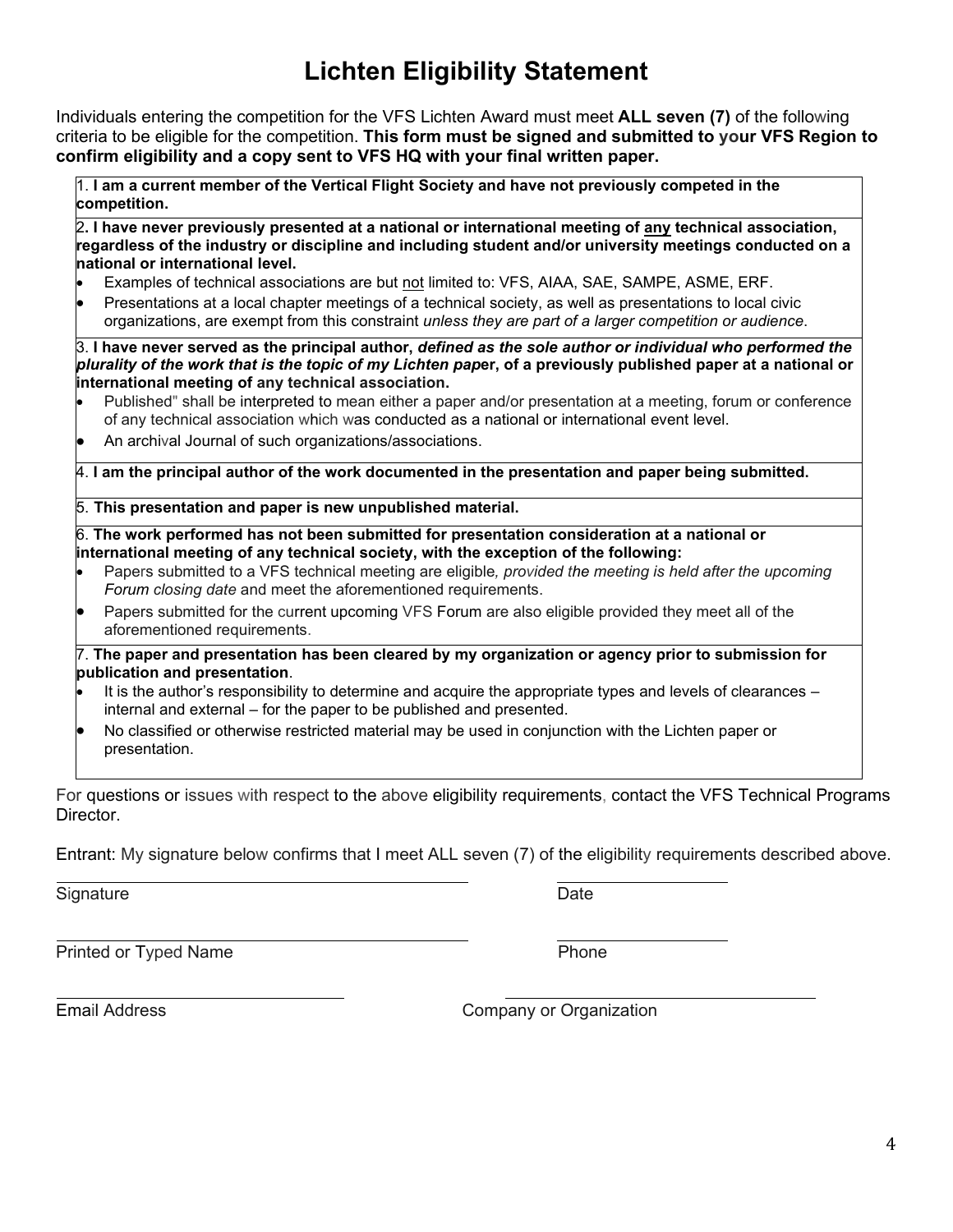# **Lichten Eligibility Statement**

Individuals entering the competition for the VFS Lichten Award must meet **ALL seven (7)** of the following criteria to be eligible for the competition. **This form must be signed and submitted to your VFS Region to confirm eligibility and a copy sent to VFS HQ with your final written paper.**

1. **I am a current member of the Vertical Flight Society and have not previously competed in the competition.**

2**. I have never previously presented at a national or international meeting of any technical association, regardless of the industry or discipline and including student and/or university meetings conducted on a national or international level.**

- Examples of technical associations are but not limited to: VFS, AIAA, SAE, SAMPE, ASME, ERF.
- Presentations at a local chapter meetings of a technical society, as well as presentations to local civic organizations, are exempt from this constraint *unless they are part of a larger competition or audience*.

3. **I have never served as the principal author,** *defined as the sole author or individual who performed the plurality of the work that is the topic of my Lichten pap***er, of a previously published paper at a national or international meeting of any technical association.**

- Published" shall be interpreted to mean either a paper and/or presentation at a meeting, forum or conference of any technical association which was conducted as a national or international event level.
- An archival Journal of such organizations/associations.

4. **I am the principal author of the work documented in the presentation and paper being submitted.**

# 5. **This presentation and paper is new unpublished material.**

6. **The work performed has not been submitted for presentation consideration at a national or international meeting of any technical society, with the exception of the following:**

- Papers submitted to a VFS technical meeting are eligible*, provided the meeting is held after the upcoming Forum closing date* and meet the aforementioned requirements.
- Papers submitted for the current upcoming VFS Forum are also eligible provided they meet all of the aforementioned requirements.

7. **The paper and presentation has been cleared by my organization or agency prior to submission for publication and presentation**.

- It is the author's responsibility to determine and acquire the appropriate types and levels of clearances internal and external – for the paper to be published and presented.
- No classified or otherwise restricted material may be used in conjunction with the Lichten paper or presentation.

For questions or issues with respect to the above eligibility requirements, contact the VFS Technical Programs **Director** 

Entrant: My signature below confirms that I meet ALL seven (7) of the eligibility requirements described above.

Signature Date **Date** 

Printed or Typed Name **Phone** 

Email Address **Company or Organization**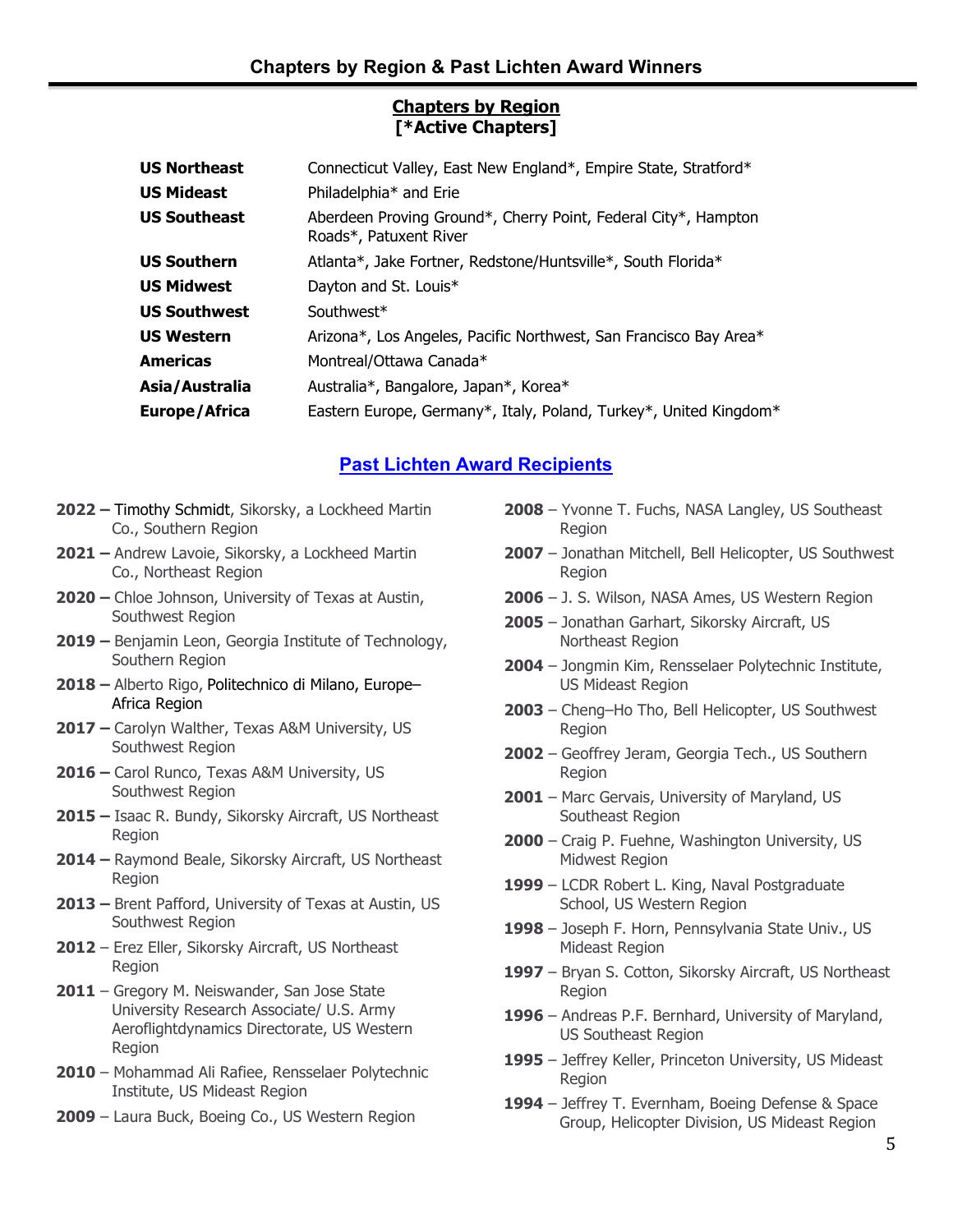# **Chapters by Region [\*Active Chapters]**

| <b>US Northeast</b>  | Connecticut Valley, East New England*, Empire State, Stratford*                          |
|----------------------|------------------------------------------------------------------------------------------|
| <b>US Mideast</b>    | Philadelphia* and Erie                                                                   |
| <b>US Southeast</b>  | Aberdeen Proving Ground*, Cherry Point, Federal City*, Hampton<br>Roads*, Patuxent River |
| <b>US Southern</b>   | Atlanta*, Jake Fortner, Redstone/Huntsville*, South Florida*                             |
| <b>US Midwest</b>    | Dayton and St. Louis*                                                                    |
| <b>US Southwest</b>  | Southwest*                                                                               |
| <b>US Western</b>    | Arizona*, Los Angeles, Pacific Northwest, San Francisco Bay Area*                        |
| <b>Americas</b>      | Montreal/Ottawa Canada*                                                                  |
| Asia/Australia       | Australia*, Bangalore, Japan*, Korea*                                                    |
| <b>Europe/Africa</b> | Eastern Europe, Germany*, Italy, Poland, Turkey*, United Kingdom*                        |

# **[Past Lichten Award Recipients](https://vtol.org/awards-and-contests/vertical-flight-society-award-winners?awardID=15)**

- **2022 –** Timothy Schmidt, Sikorsky, a Lockheed Martin Co., Southern Region
- **2021 –** Andrew Lavoie, Sikorsky, a Lockheed Martin Co., Northeast Region
- **2020 –** Chloe Johnson, University of Texas at Austin, Southwest Region
- **2019 –** Benjamin Leon, Georgia Institute of Technology, Southern Region
- **2018 –** Alberto Rigo, Politechnico di Milano, Europe– Africa Region
- **2017 –** Carolyn Walther, Texas A&M University, US Southwest Region
- **2016 –** Carol Runco, Texas A&M University, US Southwest Region
- **2015 –** Isaac R. Bundy, Sikorsky Aircraft, US Northeast Region
- **2014 –** Raymond Beale, Sikorsky Aircraft, US Northeast Region
- **2013 –** Brent Pafford, University of Texas at Austin, US Southwest Region
- **2012** Erez Eller, Sikorsky Aircraft, US Northeast Region
- **2011** Gregory M. Neiswander, San Jose State University Research Associate/ U.S. Army Aeroflightdynamics Directorate, US Western Region
- **2010** Mohammad Ali Rafiee, Rensselaer Polytechnic Institute, US Mideast Region
- **2009** Laura Buck, Boeing Co., US Western Region
- **2008** Yvonne T. Fuchs, NASA Langley, US Southeast Region
- **2007** Jonathan Mitchell, Bell Helicopter, US Southwest Region
- **2006** J. S. Wilson, NASA Ames, US Western Region
- **2005** Jonathan Garhart, Sikorsky Aircraft, US Northeast Region
- **2004** Jongmin Kim, Rensselaer Polytechnic Institute, US Mideast Region
- **2003** Cheng–Ho Tho, Bell Helicopter, US Southwest Region
- **2002** Geoffrey Jeram, Georgia Tech., US Southern Region
- **2001** Marc Gervais, University of Maryland, US Southeast Region
- **2000** Craig P. Fuehne, Washington University, US Midwest Region
- **1999** LCDR Robert L. King, Naval Postgraduate School, US Western Region
- **1998** Joseph F. Horn, Pennsylvania State Univ., US Mideast Region
- **1997** Bryan S. Cotton, Sikorsky Aircraft, US Northeast Region
- **1996** Andreas P.F. Bernhard, University of Maryland, US Southeast Region
- **1995** Jeffrey Keller, Princeton University, US Mideast Region
- **1994** Jeffrey T. Evernham, Boeing Defense & Space Group, Helicopter Division, US Mideast Region